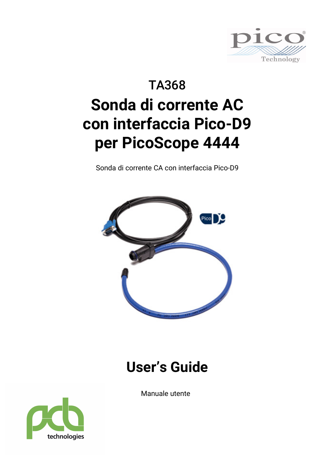

# TA368 **Sonda di corrente AC con interfaccia Pico-D9 per PicoScope 4444**

Sonda di corrente CA con interfaccia Pico-D9



# **User's Guide**

Manuale utente

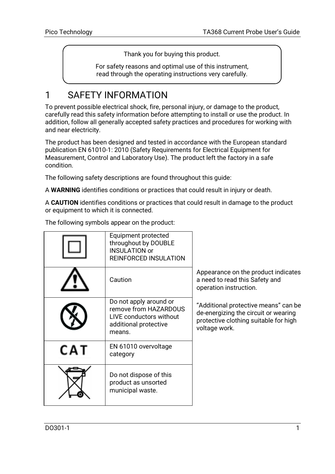Thank you for buying this product.

For safety reasons and optimal use of this instrument, read through the operating instructions very carefully.

# 1 SAFETY INFORMATION

To prevent possible electrical shock, fire, personal injury, or damage to the product, carefully read this safety information before attempting to install or use the product. In addition, follow all generally accepted safety practices and procedures for working with and near electricity.

The product has been designed and tested in accordance with the European standard publication EN 61010-1: 2010 (Safety Requirements for Electrical Equipment for Measurement, Control and Laboratory Use). The product left the factory in a safe condition.

The following safety descriptions are found throughout this guide:

A **WARNING** identifies conditions or practices that could result in injury or death.

A **CAUTION** identifies conditions or practices that could result in damage to the product or equipment to which it is connected.

|     | Equipment protected<br>throughout by DOUBLE<br><b>INSULATION or</b><br><b>REINFORCED INSULATION</b>           |                                                                                                                                        |
|-----|---------------------------------------------------------------------------------------------------------------|----------------------------------------------------------------------------------------------------------------------------------------|
|     | Caution                                                                                                       | Appearance on the product indicates<br>a need to read this Safety and<br>operation instruction.                                        |
|     | Do not apply around or<br>remove from HAZARDOUS<br>LIVE conductors without<br>additional protective<br>means. | "Additional protective means" can be<br>de-energizing the circuit or wearing<br>protective clothing suitable for high<br>voltage work. |
| CAT | EN 61010 overvoltage<br>category                                                                              |                                                                                                                                        |
|     | Do not dispose of this<br>product as unsorted<br>municipal waste.                                             |                                                                                                                                        |

The following symbols appear on the product: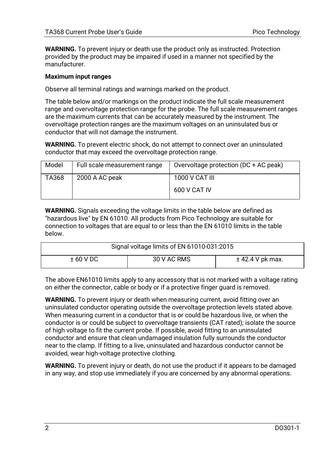**WARNING.** To prevent injury or death use the product only as instructed. Protection provided by the product may be impaired if used in a manner not specified by the manufacturer.

#### **Maximum input ranges**

Observe all terminal ratings and warnings marked on the product.

The table below and/or markings on the product indicate the full scale measurement range and overvoltage protection range for the probe. The full scale measurement ranges are the maximum currents that can be accurately measured by the instrument. The overvoltage protection ranges are the maximum voltages on an uninsulated bus or conductor that will not damage the instrument.

**WARNING.** To prevent electric shock, do not attempt to connect over an uninsulated conductor that may exceed the overvoltage protection range.

| Model | Full scale measurement range | Overvoltage protection (DC + AC peak) |
|-------|------------------------------|---------------------------------------|
| TA368 | 2000 A AC peak               | 1000 V CAT III                        |
|       |                              | 600 V CAT IV                          |

**WARNING.** Signals exceeding the voltage limits in the table below are defined as "hazardous live" by EN 61010. All products from Pico Technology are suitable for connection to voltages that are equal to or less than the EN 61010 limits in the table below.

| Signal voltage limits of EN 61010-031:2015   |  |  |  |
|----------------------------------------------|--|--|--|
| 30 V AC RMS<br>$±$ 42.4 V pk max.<br>±60 VDC |  |  |  |

The above EN61010 limits apply to any accessory that is not marked with a voltage rating on either the connector, cable or body or if a protective finger guard is removed.

**WARNING.** To prevent injury or death when measuring current, avoid fitting over an uninsulated conductor operating outside the overvoltage protection levels stated above. When measuring current in a conductor that is or could be hazardous live, or when the conductor is or could be subject to overvoltage transients (CAT rated); isolate the source of high voltage to fit the current probe. If possible, avoid fitting to an uninsulated conductor and ensure that clean undamaged insulation fully surrounds the conductor near to the clamp. If fitting to a live, uninsulated and hazardous conductor cannot be avoided, wear high-voltage protective clothing.

**WARNING.** To prevent injury or death, do not use the product if it appears to be damaged in any way, and stop use immediately if you are concerned by any abnormal operations.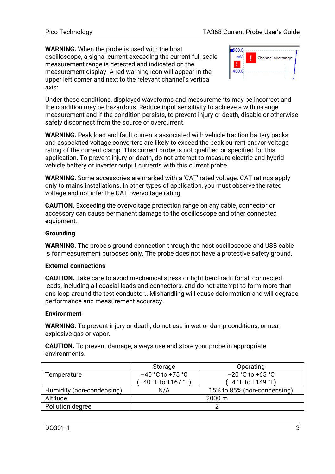**WARNING.** When the probe is used with the host oscilloscope, a signal current exceeding the current full scale measurement range is detected and indicated on the measurement display. A red warning icon will appear in the upper left corner and next to the relevant channel's vertical axis:



Under these conditions, displayed waveforms and measurements may be incorrect and the condition may be hazardous. Reduce input sensitivity to achieve a within-range measurement and if the condition persists, to prevent injury or death, disable or otherwise safely disconnect from the source of overcurrent.

**WARNING.** Peak load and fault currents associated with vehicle traction battery packs and associated voltage converters are likely to exceed the peak current and/or voltage rating of the current clamp. This current probe is not qualified or specified for this application. To prevent injury or death, do not attempt to measure electric and hybrid vehicle battery or inverter output currents with this current probe.

**WARNING.** Some accessories are marked with a 'CAT' rated voltage. CAT ratings apply only to mains installations. In other types of application, you must observe the rated voltage and not infer the CAT overvoltage rating.

**CAUTION.** Exceeding the overvoltage protection range on any cable, connector or accessory can cause permanent damage to the oscilloscope and other connected equipment.

### **Grounding**

**WARNING.** The probe's ground connection through the host oscilloscope and USB cable is for measurement purposes only. The probe does not have a protective safety ground.

### **External connections**

**CAUTION.** Take care to avoid mechanical stress or tight bend radii for all connected leads, including all coaxial leads and connectors, and do not attempt to form more than one loop around the test conductor.. Mishandling will cause deformation and will degrade performance and measurement accuracy.

### **Environment**

**WARNING.** To prevent injury or death, do not use in wet or damp conditions, or near explosive gas or vapor.

**CAUTION.** To prevent damage, always use and store your probe in appropriate environments.

|                           | Storage             | Operating                   |
|---------------------------|---------------------|-----------------------------|
| Temperature               | $-40$ °C to +75 °C  | $-20$ °C to +65 °C          |
|                           | (-40 °F to +167 °F) | (-4 °F to +149 °F)          |
| Humidity (non-condensing) | N/A                 | 15% to 85% (non-condensing) |
| Altitude                  |                     | $2000 \text{ m}$            |
| Pollution degree          |                     |                             |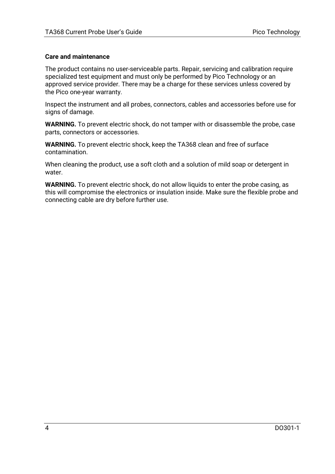### **Care and maintenance**

The product contains no user-serviceable parts. Repair, servicing and calibration require specialized test equipment and must only be performed by Pico Technology or an approved service provider. There may be a charge for these services unless covered by the Pico one-year warranty.

Inspect the instrument and all probes, connectors, cables and accessories before use for signs of damage.

**WARNING.** To prevent electric shock, do not tamper with or disassemble the probe, case parts, connectors or accessories.

**WARNING.** To prevent electric shock, keep the TA368 clean and free of surface contamination.

When cleaning the product, use a soft cloth and a solution of mild soap or detergent in water.

**WARNING.** To prevent electric shock, do not allow liquids to enter the probe casing, as this will compromise the electronics or insulation inside. Make sure the flexible probe and connecting cable are dry before further use.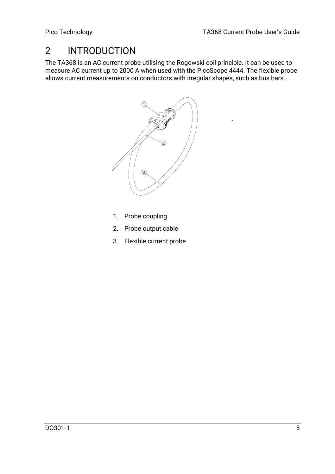## 2 INTRODUCTION

The TA368 is an AC current probe utilising the Rogowski coil principle. It can be used to measure AC current up to 2000 A when used with the PicoScope 4444. The flexible probe allows current measurements on conductors with irregular shapes, such as bus bars.



- 1. Probe coupling
- 2. Probe output cable
- 3. Flexible current probe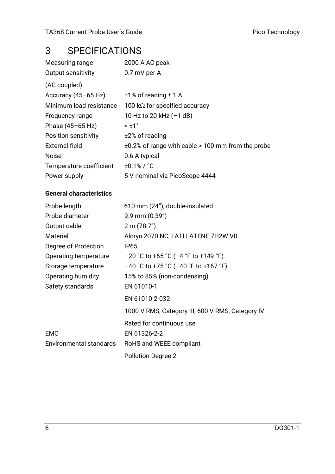# 3 SPECIFICATIONS

| Measuring range         | 2000 A AC peak                                          |
|-------------------------|---------------------------------------------------------|
| Output sensitivity      | 0.7 mV per A                                            |
| (AC coupled)            |                                                         |
| Accuracy $(45-65$ Hz)   | $±1\%$ of reading $±1$ A                                |
| Minimum load resistance | 100 k $\Omega$ for specified accuracy                   |
| Frequency range         | 10 Hz to 20 kHz $(-1$ dB)                               |
| Phase (45-65 Hz)        | $\leq$ +1 $\degree$                                     |
| Position sensitivity    | $±2%$ of reading                                        |
| External field          | $\pm 0.2$ % of range with cable > 100 mm from the probe |
| <b>Noise</b>            | 0.6 A typical                                           |
| Temperature coefficient | $±0.1\%$ / $°C$                                         |
| Power supply            | 5 V nominal via PicoScope 4444                          |

### **General characteristics**

| Probe length            | 610 mm (24"), double-insulated                   |
|-------------------------|--------------------------------------------------|
| Probe diameter          | $9.9$ mm $(0.39")$                               |
| Output cable            | 2 m (78.7")                                      |
| Material                | Alcryn 2070 NC, LATI LATENE 7H2W V0              |
| Degree of Protection    | IP65                                             |
| Operating temperature   | $-20$ °C to +65 °C (-4 °F to +149 °F)            |
| Storage temperature     | $-40$ °C to +75 °C (-40 °F to +167 °F)           |
| Operating humidity      | 15% to 85% (non-condensing)                      |
| Safety standards        | EN 61010-1                                       |
|                         | EN 61010-2-032                                   |
|                         | 1000 V RMS, Category III, 600 V RMS, Category IV |
|                         | Rated for continuous use                         |
| <b>EMC</b>              | EN 61326-2-2                                     |
| Environmental standards | RoHS and WEEE compliant                          |
|                         | <b>Pollution Degree 2</b>                        |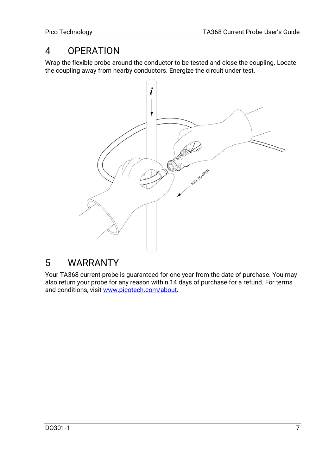### 4 OPERATION

Wrap the flexible probe around the conductor to be tested and close the coupling. Locate the coupling away from nearby conductors. Energize the circuit under test.



### 5 WARRANTY

Your TA368 current probe is guaranteed for one year from the date of purchase. You may also return your probe for any reason within 14 days of purchase for a refund. For terms and conditions, visi[t www.picotech.com/about.](http://www.picotech.com/about)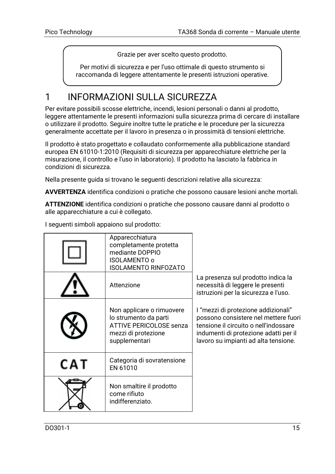Grazie per aver scelto questo prodotto.

Per motivi di sicurezza e per l'uso ottimale di questo strumento si raccomanda di leggere attentamente le presenti istruzioni operative.

# 1 INFORMAZIONI SULLA SICUREZZA

Per evitare possibili scosse elettriche, incendi, lesioni personali o danni al prodotto, leggere attentamente le presenti informazioni sulla sicurezza prima di cercare di installare o utilizzare il prodotto. Seguire inoltre tutte le pratiche e le procedure per la sicurezza generalmente accettate per il lavoro in presenza o in prossimità di tensioni elettriche.

Il prodotto è stato progettato e collaudato conformemente alla pubblicazione standard europea EN 61010-1:2010 (Requisiti di sicurezza per apparecchiature elettriche per la misurazione, il controllo e l'uso in laboratorio). Il prodotto ha lasciato la fabbrica in condizioni di sicurezza.

Nella presente guida si trovano le seguenti descrizioni relative alla sicurezza:

**AVVERTENZA** identifica condizioni o pratiche che possono causare lesioni anche mortali.

**ATTENZIONE** identifica condizioni o pratiche che possono causare danni al prodotto o alle apparecchiature a cui è collegato.

|     | Apparecchiatura<br>completamente protetta<br>mediante DOPPIO<br>ISOLAMENTO o<br><b>ISOLAMENTO RINFOZATO</b>                  |                                                                                                                                                                                                       |
|-----|------------------------------------------------------------------------------------------------------------------------------|-------------------------------------------------------------------------------------------------------------------------------------------------------------------------------------------------------|
|     | Attenzione                                                                                                                   | La presenza sul prodotto indica la<br>necessità di leggere le presenti<br>istruzioni per la sicurezza e l'uso.                                                                                        |
|     | Non applicare o rimuovere<br>lo strumento da parti<br><b>ATTIVE PERICOLOSE senza</b><br>mezzi di protezione<br>supplementari | l "mezzi di protezione addizionali"<br>possono consistere nel mettere fuori<br>tensione il circuito o nell'indossare<br>indumenti di protezione adatti per il<br>lavoro su impianti ad alta tensione. |
| CAT | Categoria di sovratensione<br>EN 61010                                                                                       |                                                                                                                                                                                                       |
|     | Non smaltire il prodotto<br>come rifiuto<br>indifferenziato.                                                                 |                                                                                                                                                                                                       |

I seguenti simboli appaiono sul prodotto: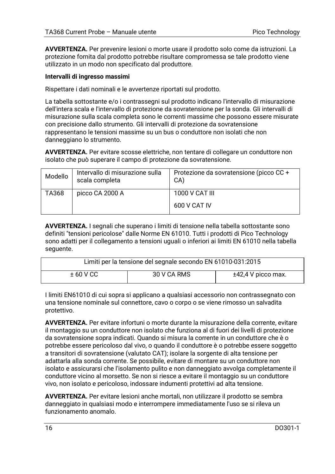**AVVERTENZA.** Per prevenire lesioni o morte usare il prodotto solo come da istruzioni. La protezione fornita dal prodotto potrebbe risultare compromessa se tale prodotto viene utilizzato in un modo non specificato dal produttore.

### **Intervalli di ingresso massimi**

Rispettare i dati nominali e le avvertenze riportati sul prodotto.

La tabella sottostante e/o i contrassegni sul prodotto indicano l'intervallo di misurazione dell'intera scala e l'intervallo di protezione da sovratensione per la sonda. Gli intervalli di misurazione sulla scala completa sono le correnti massime che possono essere misurate con precisione dallo strumento. Gli intervalli di protezione da sovratensione rappresentano le tensioni massime su un bus o conduttore non isolati che non danneggiano lo strumento.

**AVVERTENZA.** Per evitare scosse elettriche, non tentare di collegare un conduttore non isolato che può superare il campo di protezione da sovratensione.

| Modello | Intervallo di misurazione sulla<br>scala completa | Protezione da sovratensione (picco CC +<br>CA) |
|---------|---------------------------------------------------|------------------------------------------------|
| TA368   | picco CA 2000 A                                   | 1000 V CAT III                                 |
|         |                                                   | 600 V CAT IV                                   |

**AVVERTENZA.** I segnali che superano i limiti di tensione nella tabella sottostante sono definiti "tensioni pericolose" dalle Norme EN 61010. Tutti i prodotti di Pico Technology sono adatti per il collegamento a tensioni uguali o inferiori ai limiti EN 61010 nella tabella seguente.

| Limiti per la tensione del segnale secondo EN 61010-031:2015 |             |                      |
|--------------------------------------------------------------|-------------|----------------------|
| $±60$ V CC                                                   | 30 V CA RMS | $±42,4$ V picco max. |

I limiti EN61010 di cui sopra si applicano a qualsiasi accessorio non contrassegnato con una tensione nominale sul connettore, cavo o corpo o se viene rimosso un salvadita protettivo.

**AVVERTENZA.** Per evitare infortuni o morte durante la misurazione della corrente, evitare il montaggio su un conduttore non isolato che funziona al di fuori dei livelli di protezione da sovratensione sopra indicati. Quando si misura la corrente in un conduttore che è o potrebbe essere pericoloso dal vivo, o quando il conduttore è o potrebbe essere soggetto a transitori di sovratensione (valutato CAT); isolare la sorgente di alta tensione per adattarla alla sonda corrente. Se possibile, evitare di montare su un conduttore non isolato e assicurarsi che l'isolamento pulito e non danneggiato avvolga completamente il conduttore vicino al morsetto. Se non si riesce a evitare il montaggio su un conduttore vivo, non isolato e pericoloso, indossare indumenti protettivi ad alta tensione.

**AVVERTENZA.** Per evitare lesioni anche mortali, non utilizzare il prodotto se sembra danneggiato in qualsiasi modo e interrompere immediatamente l'uso se si rileva un funzionamento anomalo.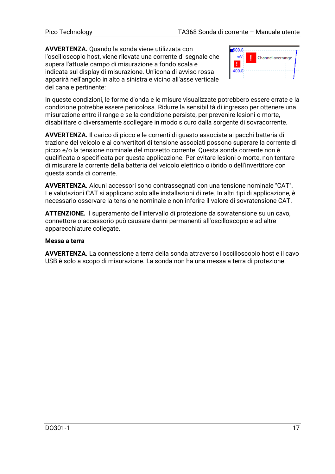**AVVERTENZA.** Quando la sonda viene utilizzata con l'oscilloscopio host, viene rilevata una corrente di segnale che supera l'attuale campo di misurazione a fondo scala e indicata sul display di misurazione. Un'icona di avviso rossa apparirà nell'angolo in alto a sinistra e vicino all'asse verticale del canale pertinente:



In queste condizioni, le forme d'onda e le misure visualizzate potrebbero essere errate e la condizione potrebbe essere pericolosa. Ridurre la sensibilità di ingresso per ottenere una misurazione entro il range e se la condizione persiste, per prevenire lesioni o morte, disabilitare o diversamente scollegare in modo sicuro dalla sorgente di sovracorrente.

**AVVERTENZA.** Il carico di picco e le correnti di guasto associate ai pacchi batteria di trazione del veicolo e ai convertitori di tensione associati possono superare la corrente di picco e/o la tensione nominale del morsetto corrente. Questa sonda corrente non è qualificata o specificata per questa applicazione. Per evitare lesioni o morte, non tentare di misurare la corrente della batteria del veicolo elettrico o ibrido o dell'invertitore con questa sonda di corrente.

**AVVERTENZA.** Alcuni accessori sono contrassegnati con una tensione nominale "CAT". Le valutazioni CAT si applicano solo alle installazioni di rete. In altri tipi di applicazione, è necessario osservare la tensione nominale e non inferire il valore di sovratensione CAT.

**ATTENZIONE.** Il superamento dell'intervallo di protezione da sovratensione su un cavo, connettore o accessorio può causare danni permanenti all'oscilloscopio e ad altre apparecchiature collegate.

### **Messa a terra**

**AVVERTENZA.** La connessione a terra della sonda attraverso l'oscilloscopio host e il cavo USB è solo a scopo di misurazione. La sonda non ha una messa a terra di protezione.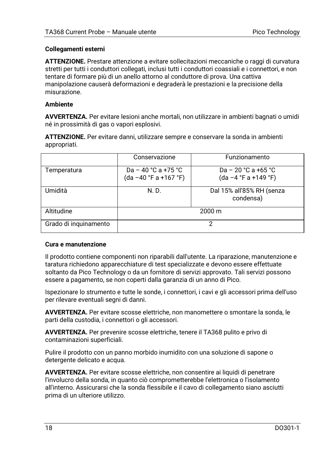### **Collegamenti esterni**

**ATTENZIONE.** Prestare attenzione a evitare sollecitazioni meccaniche o raggi di curvatura stretti per tutti i conduttori collegati, inclusi tutti i conduttori coassiali e i connettori, e non tentare di formare più di un anello attorno al conduttore di prova. Una cattiva manipolazione causerà deformazioni e degraderà le prestazioni e la precisione della misurazione.

### **Ambiente**

**AVVERTENZA.** Per evitare lesioni anche mortali, non utilizzare in ambienti bagnati o umidi né in prossimità di gas o vapori esplosivi.

**ATTENZIONE.** Per evitare danni, utilizzare sempre e conservare la sonda in ambienti appropriati.

|                       | Conservazione                               | Funzionamento                                 |
|-----------------------|---------------------------------------------|-----------------------------------------------|
| Temperatura           | Da – 40 °C a +75 °C<br>(da-40 °F a +167 °F) | Da – 20 °C a +65 °C<br>$(da -4 °F a +149 °F)$ |
| Umidità               | N. D.                                       | Dal 15% all'85% RH (senza<br>condensa)        |
| Altitudine            |                                             | $2000 \text{ m}$                              |
| Grado di inguinamento |                                             |                                               |

#### **Cura e manutenzione**

Il prodotto contiene componenti non riparabili dall'utente. La riparazione, manutenzione e taratura richiedono apparecchiature di test specializzate e devono essere effettuate soltanto da Pico Technology o da un fornitore di servizi approvato. Tali servizi possono essere a pagamento, se non coperti dalla garanzia di un anno di Pico.

Ispezionare lo strumento e tutte le sonde, i connettori, i cavi e gli accessori prima dell'uso per rilevare eventuali segni di danni.

**AVVERTENZA.** Per evitare scosse elettriche, non manomettere o smontare la sonda, le parti della custodia, i connettori o gli accessori.

**AVVERTENZA.** Per prevenire scosse elettriche, tenere il TA368 pulito e privo di contaminazioni superficiali.

Pulire il prodotto con un panno morbido inumidito con una soluzione di sapone o detergente delicato e acqua.

**AVVERTENZA.** Per evitare scosse elettriche, non consentire ai liquidi di penetrare l'involucro della sonda, in quanto ciò comprometterebbe l'elettronica o l'isolamento all'interno. Assicurarsi che la sonda flessibile e il cavo di collegamento siano asciutti prima di un ulteriore utilizzo.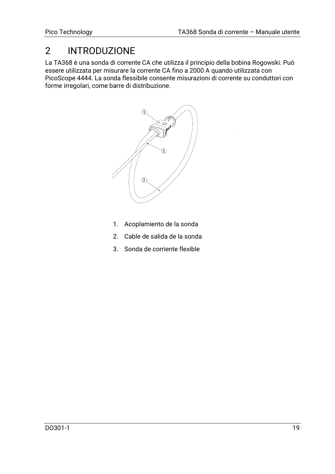## 2 INTRODUZIONE

La TA368 è una sonda di corrente CA che utilizza il principio della bobina Rogowski. Può essere utilizzata per misurare la corrente CA fino a 2000 A quando utilizzata con PicoScope 4444. La sonda flessibile consente misurazioni di corrente su conduttori con forme irregolari, come barre di distribuzione.



- 1. Acoplamiento de la sonda
- 2. Cable de salida de la sonda
- 3. Sonda de corriente flexible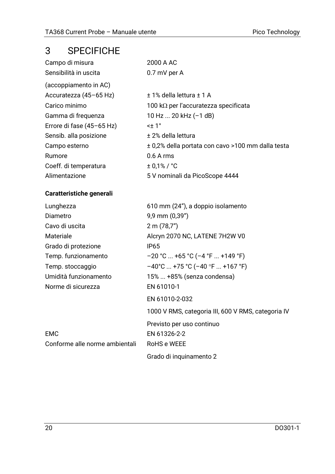### 3 SPECIFICHE

| Campo di misura           | 2000 A AC                                         |
|---------------------------|---------------------------------------------------|
| Sensibilità in uscita     | 0.7 mV per A                                      |
| (accoppiamento in AC)     |                                                   |
| Accuratezza (45-65 Hz)    | ± 1% della lettura ± 1 A                          |
| Carico minimo             | 100 k $\Omega$ per l'accuratezza specificata      |
| Gamma di freguenza        | $10$ Hz  20 kHz (-1 dB)                           |
| Errore di fase (45-65 Hz) | <± 1°                                             |
| Sensib. alla posizione    | ± 2% della lettura                                |
| Campo esterno             | ± 0,2% della portata con cavo >100 mm dalla testa |
| Rumore                    | $0.6A$ rms                                        |
| Coeff. di temperatura     | $± 0.1\% / °C$                                    |
| Alimentazione             | 5 V nominali da PicoScope 4444                    |
|                           |                                                   |

### **Caratteristiche generali**

| Lunghezza                      | 610 mm (24"), a doppio isolamento                  |
|--------------------------------|----------------------------------------------------|
| Diametro                       | 9,9 mm (0,39")                                     |
| Cavo di uscita                 | 2 m (78.7")                                        |
| Materiale                      | Alcryn 2070 NC, LATENE 7H2W V0                     |
| Grado di protezione            | IP65                                               |
| Temp. funzionamento            | $-20$ °C  +65 °C (-4 °F  +149 °F)                  |
| Temp. stoccaggio               | $-40^{\circ}$ C  +75 °C (-40 °F  +167 °F)          |
| Umidità funzionamento          | 15%  +85% (senza condensa)                         |
| Norme di sicurezza             | EN 61010-1                                         |
|                                | EN 61010-2-032                                     |
|                                | 1000 V RMS, categoria III, 600 V RMS, categoria IV |
|                                | Previsto per uso continuo                          |
| <b>EMC</b>                     | EN 61326-2-2                                       |
| Conforme alle norme ambientali | RoHS e WEEE                                        |
|                                |                                                    |

Grado di inquinamento 2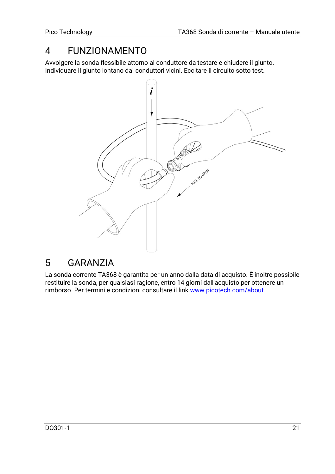### 4 FUNZIONAMENTO

Avvolgere la sonda flessibile attorno al conduttore da testare e chiudere il giunto. Individuare il giunto lontano dai conduttori vicini. Eccitare il circuito sotto test.



### 5 GARANZIA

La sonda corrente TA368 è garantita per un anno dalla data di acquisto. È inoltre possibile restituire la sonda, per qualsiasi ragione, entro 14 giorni dall'acquisto per ottenere un rimborso. Per termini e condizioni consultare il lin[k www.picotech.com/about.](http://www.picotech.com/about)